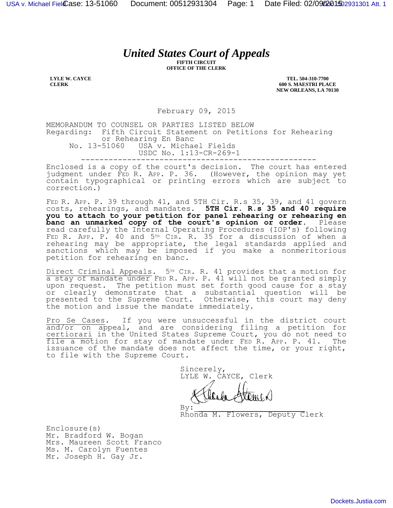## *United States Court of Appeals*

**FIFTH CIRCUIT OFFICE OF THE CLERK**

**LYLE W. CAYCE CLERK**

**TEL. 504-310-7700 600 S. MAESTRI PLACE NEW ORLEANS, LA 70130**

February 09, 2015

MEMORANDUM TO COUNSEL OR PARTIES LISTED BELOW Regarding: Fifth Circuit Statement on Petitions for Rehearing or Rehearing En Banc<br>No. 13-51060 USA v. Micha USA v. Michael Fields USDC No. 1:13-CR-269-1 ---------------------------------------------------

Enclosed is a copy of the court's decision. The court has entered judgment under FED R. APP. P. 36. (However, the opinion may yet contain typographical or printing errors which are subject to correction.)

FED R. APP. P. 39 through 41, and 5TH Cir. R.s 35, 39, and 41 govern costs, rehearings, and mandates. **5TH Cir. R.s 35 and 40 require you to attach to your petition for panel rehearing or rehearing en**  banc an unmarked copy of the court's opinion or order. Please read carefully the Internal Operating Procedures (IOP's) following FED R. APP. P. 40 and 5TH CIR. R. 35 for a discussion of when a rehearing may be appropriate, the legal standards applied and sanctions which may be imposed if you make a nonmeritorious petition for rehearing en banc.

Direct Criminal Appeals. 5<sup>TH</sup> CIR. R. 41 provides that a motion for a stay of mandate under FED R. APP. P. 41 will not be granted simply upon request. The petition must set forth good cause for a stay or clearly demonstrate that a substantial question will be presented to the Supreme Court. Otherwise, this court may deny the motion and issue the mandate immediately.

Pro Se Cases. If you were unsuccessful in the district court and/or on appeal, and are considering filing a petition for certiorari in the United States Supreme Court, you do not need to file a motion for stay of mandate under FED R. APP. P. 41. The issuance of the mandate does not affect the time, or your right, to file with the Supreme Court.

 Sincerely, LYLE W. CAYCE, Clerk

 $By:$ Rhonda M. Flowers, Deputy Clerk

Enclosure(s) Mr. Bradford W. Bogan Mrs. Maureen Scott Franco Ms. M. Carolyn Fuentes Mr. Joseph H. Gay Jr.